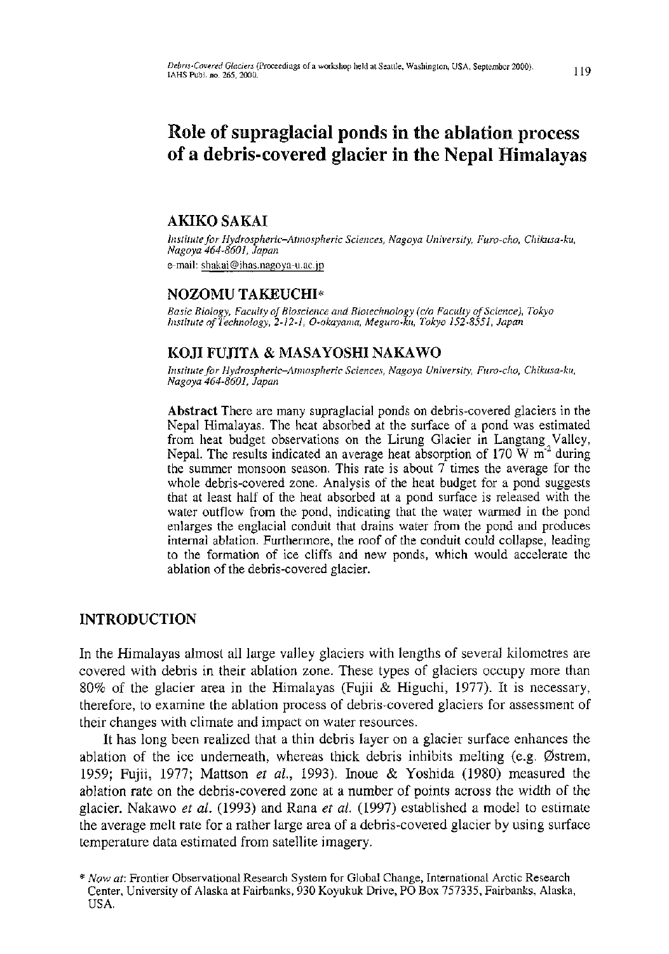# **Role of supraglacial ponds in the ablation process of a debris-covered glacier in the Nepal Himalayas**

# **AKIKO SAKAI**

*Institute for Hydrospheric-Atmospheric Sciences, Nagoya University, Furo-cho, Chikusa-ku, Nagoya 464-8601, Japan*  e-mail: shakai@ihas.nagoya-u.ac.jp

# **NOZOMU TAKEUCHI\***

*Nasic Biology, Faculty of Bioscience Basic Biology, Faculty of Bioscience and Biotechnology (c/o Faculty of Science), Tokyo* 

# **KOJI FUJITA & MASAYOSHI NAKAWO**

*Institute for Hydrospheric-Atmospheric Sciences, Nagoya University, Furo-cho, Chikusa-ku, Nagoya 464-8601, Japan* 

Abstract **Ther e are many supraglacial ponds on debris-covered glacier s in the**  Nepal Himalayas. The heat absorbed at the surface of a pond was estimated **from heat budge t observations on the Lirung Glacie r in Langtang Valley , Nepal. The results indicated an average heat absorption of 170 W m<sup>-</sup> during the summe r monsoo n season. This rate is about** 7 **time s the averag e for the**  whole debris-covered zone. Analysis of the heat budget for a pond suggests that at least half of the heat absorbed at a pond surface is released with the water outflow from the pond, indicating that the water warmed in the pond enlarges the englacial conduit that drains water from the pond and produces **internal ablation.** Furthermore, the roof of the conduit could collapse, leading to the formation of ice cliffs and new ponds, which would accelerate the **ablation o f the debris-covered glacier.** 

# **INTRODUCTION**

In the Himalayas almost **all** large valley glaciers with lengths **o f** several kilometres are covered with debris **in** their ablation zone. These types **o f** glaciers occupy more than 80% **o f** the glacier area **in** the Himalayas (Fujii & Higuchi, 1977). It **is** necessary, therefore, **t o** examine the ablation process **o f** debris-covered glaciers for assessment **o f**  their changes with climate and impact **o n** water resources.

It **ha <sup>s</sup>** long **bee <sup>n</sup>** realized **that** a thin debris layer**<sup>o</sup> <sup>n</sup>** a glacier surface enhances **th <sup>e</sup>** ablation of the ice underneath, whereas thick debris inhibits melting (e.g. Østrem, 1959; Fujii, 1977; Mattson *et al,* 1993). Inoue & Yoshida (1980) measured **the**  ablation rate **o n the** debris-covered zone at a number **o f** points across **the** width **o f the**  glacier. Nakawo *et al.* (1993) **and** Rana *et al.* (1997) established a model **t o** estimate **t he** average melt rate **fo <sup>r</sup>** a rather large area**<sup>o</sup> <sup>f</sup>** a debris-covered glacier by using surface temperature data estimated from satellite imagery.

*<sup>\*</sup> Now at:* **Frontier Observational Research System for Global Change, International Arctic Research Center, University of Alaska at Fairbanks, 930 Koyukuk Drive, PO Bo x 757335, Fairbanks, Alaska, USA.**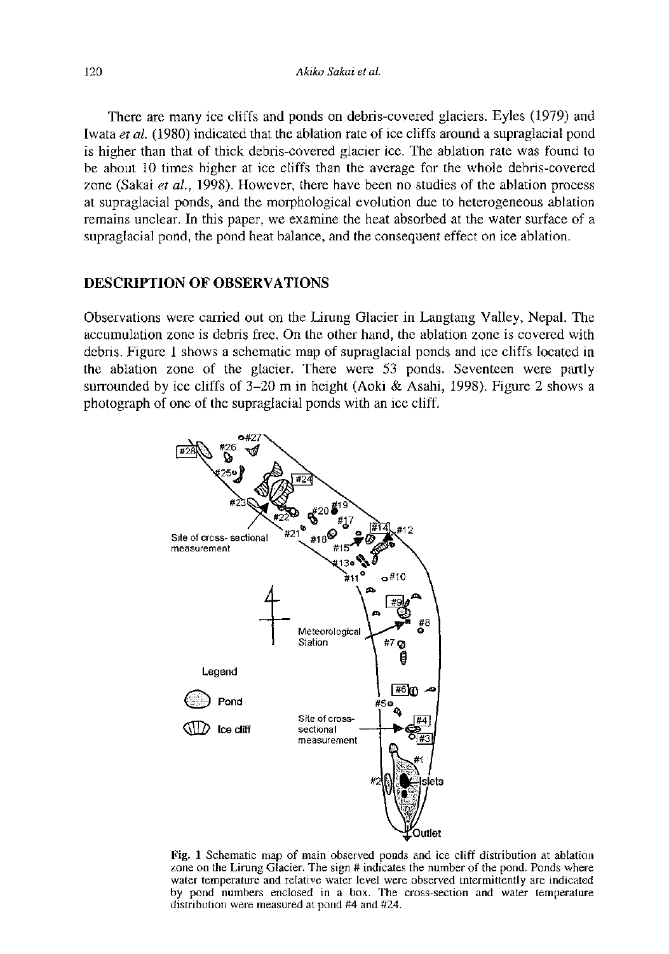There are many ice cliffs and ponds on debris-covered glaciers. Eyles (1979) and Iwata *et al.* (1980) indicated that the ablation rate of ice cliffs around a supraglacial pond is higher than that of thick debris-covered glacier ice. The ablation rate was found to be about 10 times higher at ice cliffs than the average for the whole debris-covered zone (Sakai *et al.,* 1998). However, there have been no studies of the ablation process at supraglacial ponds, and the morphological evolution due to heterogeneous ablation remains unclear. In this paper, we examine the heat absorbed at the water surface of a supraglacial pond, the pond heat balance, and the consequent effect on ice ablation.

# DESCRIPTION OF OBSERVATIONS

Observations were carried out on the Lirung Glacier in Langtang Valley, Nepal. The accumulation zone is debris free. On the other hand, the ablation zone is covered with debris. Figure 1 shows a schematic map of supraglacial ponds and ice cliffs located in the ablation zone of the glacier. There were 53 ponds. Seventeen were partly surrounded by ice cliffs of  $3-20$  m in height (Aoki & Asahi, 1998). Figure 2 shows a photograph of one of the supraglacial ponds with an ice cliff.



Fig. **1** Schematic map of main observed ponds and ice cliff distribution at ablation zone on the Lirung Glacier. The sign # indicates the number of the pond. Ponds where water temperature and relative water level were observed intermittently are indicated by pond numbers enclosed in a box. The cross-section and water temperature distribution were measured at pond #4 and #24.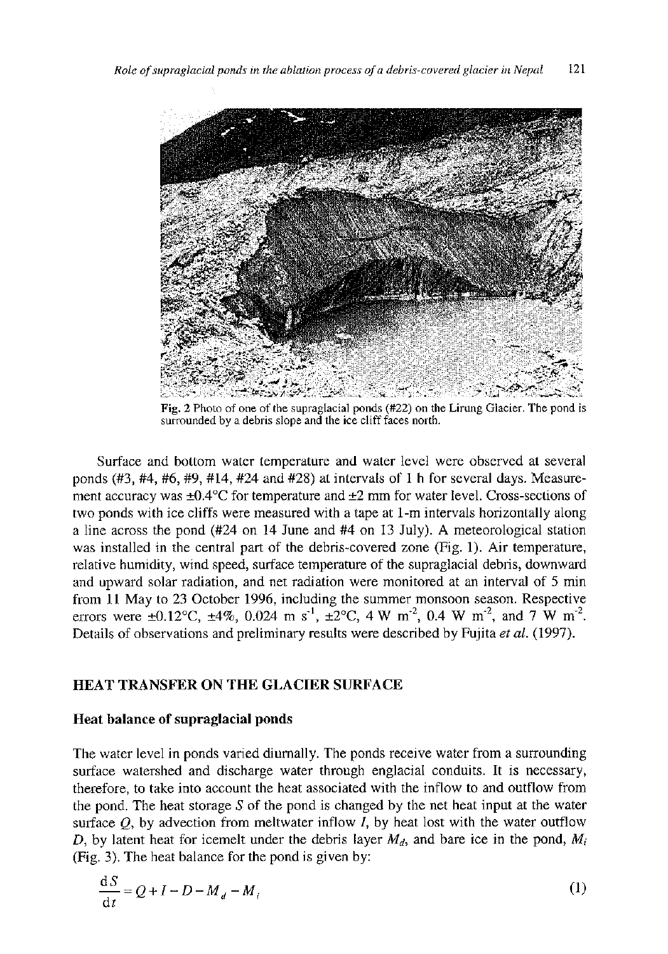

Fig. 2 Photo of one of the supraglacial ponds (#22) on the Lirung Glacier. The pond is surrounded by a debris slope and the ice cliff faces north.

Surface and bottom water temperature and water level were observed at several ponds (#3, #4, #6, #9, #14, #24 and #28) at intervals of 1 h for several days. Measurement accuracy was  $\pm 0.4^{\circ}$ C for temperature and  $\pm 2$  mm for water level. Cross-sections of two ponds with ice cliffs were measured with a tape at 1-m intervals horizontally along a line across the pond (#24 on 14 June and #4 on 13 July). A meteorological station was installed in the central part of the debris-covered zone (Fig. 1). Air temperature, relative humidity, wind speed, surface temperature of the supraglacial debris, downward and upward solar radiation, and net radiation were monitored at an interval of 5 min from 11 May to 23 October 1996, including the summer monsoon season. Respective errors were  $\pm 0.12^{\circ}\text{C}$ ,  $\pm 4\%$ , 0.024 m s<sup>-1</sup>,  $\pm 2^{\circ}\text{C}$ , 4 W m<sup>-2</sup>, 0.4 W m<sup>-2</sup>, and 7 W m<sup>-2</sup>. Details of observations and preliminary results were described by Fujita *et al.* (1997).

## HEAT TRANSFER ON THE GLACIER SURFACE

### Heat balance of supraglacial ponds

The water level in ponds varied diurnally. The ponds receive water from a surrounding surface watershed and discharge water through englacial conduits. It is necessary, therefore, to take into account the heat associated with the inflow to and outflow from the pond. The heat storage *S* of the pond is changed by the net heat input at the water surface *Q,* by advection from meltwater inflow *I,* by heat lost with the water outflow *D,* by latent heat for icemelt under the debris layer  $M_d$ , and bare ice in the pond,  $M_i$ (Fig. 3). The heat balance for the pond is given by:

$$
\frac{\mathrm{d}S}{\mathrm{d}t} = Q + I - D - M_d - M_i \tag{1}
$$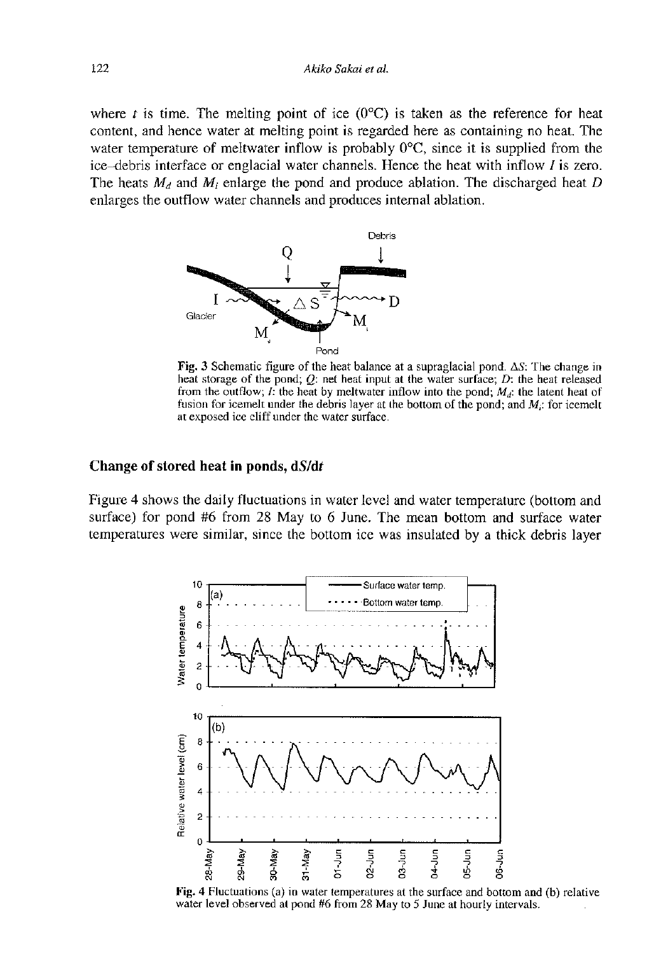where *t* is time. The melting point of ice  $(0^{\circ}C)$  is taken as the reference for heat content, and hence water at melting point is regarded here as containing no heat. The water temperature of meltwater inflow is probably  $0^{\circ}C$ , since it is supplied from the ice-debris interface or englacial water channels. Hence the heat with inflow  $I$  is zero. The heats  $M_d$  and  $M_i$  enlarge the pond and produce ablation. The discharged heat D enlarges the outflow water channels and produces internal ablation.



Fig. 3 Schematic figure of the heat balance at a supraglacial pond.  $\Delta S$ : The change in heat storage of the pond; *Q:* net heat input at the water surface; *D:* the heat released from the outflow; /: the heat by meltwater inflow into the pond; *Md:* the latent heat of fusion for icemelt under the debris layer at the bottom of the pond; and  $M_i$ : for icemelt at exposed ice cliff under the water surface.

#### **Change of stored heat in ponds, dS/dr**

Figure 4 shows the daily fluctuations in water level and water temperature (bottom and surface) for pond #6 from 28 May to 6 June. The mean bottom and surface water temperatures were similar, since the bottom ice was insulated by a thick debris layer



**Fig. 4** Fluctuations (a) in water temperatures at the surface and bottom and (b) relative water level observed at pond #6 from 28 May to 5 June at hourly intervals.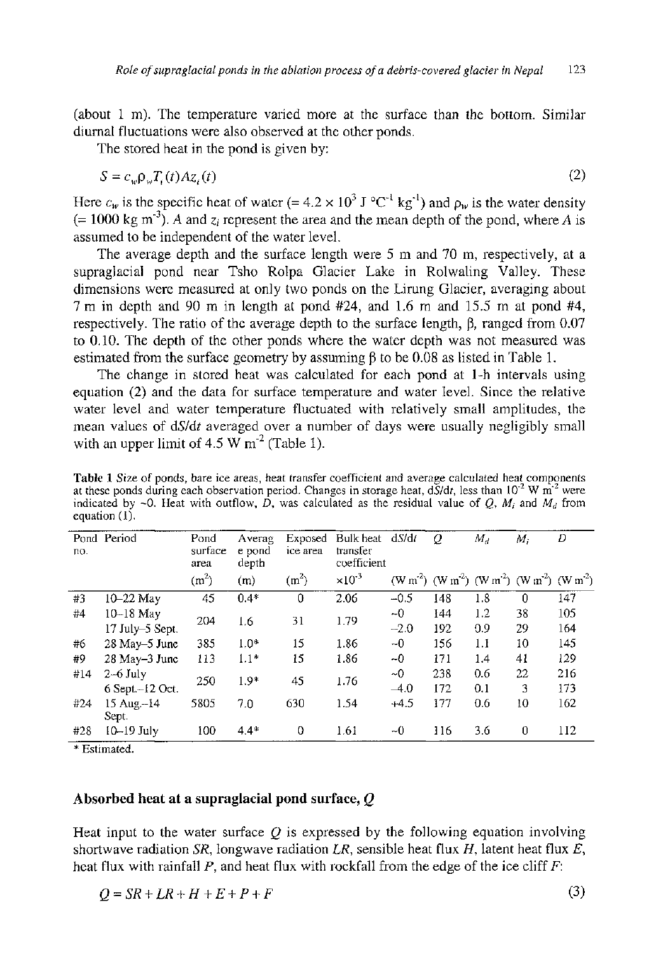(about 1 m). The temperature varied more at the surface than the bottom. Similar diumal fluctuations were also observed at the other ponds.

The stored heat in the pond is given by:

$$
S = c_w \rho_w T_i(t) A z_i(t) \tag{2}
$$

Here  $c_w$  is the specific heat of water (= 4.2  $\times$  10<sup>3</sup> J °C<sup>-1</sup> kg<sup>-1</sup>) and  $\rho_w$  is the water density  $(= 1000 \text{ kg m}^{-3})$ . A and  $z_i$  represent the area and the mean depth of the pond, where A is assumed to be independent of the water level.

The average depth and the surface length were 5 m and 70 m, respectively, at a supraglacial pond near Tsho Rolpa Glacier Lake in Rolwaling Valley. These dimensions were measured at only two ponds on the Lirung Glacier, averaging about 7 m in depth and 90 m in length at pond #24, and 1.6 m and 15.5 m at pond #4, respectively. The ratio of the average depth to the surface length,  $\beta$ , ranged from 0.07 to 0.10. The depth of the other ponds where the water depth was not measured was estimated from the surface geometry by assuming  $\beta$  to be 0.08 as listed in Table 1.

The change in stored heat was calculated for each pond at 1-h intervals using equation (2) and the data for surface temperature and water level. Since the relative water level and water temperature fluctuated with relatively small amplitudes, the mean values of *àSlàt* averaged over a number of days were usually negligibly small with an upper limit of 4.5 W  $m^{-2}$  (Table 1).

**Table 1** Size of ponds, bare ice areas, heat transfer coefficient and average calculated heat components at these ponds during each observation period. Changes in storage heat, dS/dt, less than 10<sup>-2</sup> W m<sup>-2</sup> were indicated by -0 . Heat with outflow, *D,* was calculated as the residual value of *Q,* M, and *M<sup>d</sup>* from equation (1).

| no. | Pond Period         | Pond<br>surface<br>area | Averag<br>e pond<br>depth | Exposed<br>ice area | Bulk heat<br>transfer<br>coefficient | dS/dt     | Q   | $M_d$ | $M_i$                                                                                               | D   |
|-----|---------------------|-------------------------|---------------------------|---------------------|--------------------------------------|-----------|-----|-------|-----------------------------------------------------------------------------------------------------|-----|
|     |                     | (m <sup>2</sup> )       | (m)                       | (m <sup>2</sup> )   | $\times 10^{-3}$                     |           |     |       | (W m <sup>2</sup> ) (W m <sup>2</sup> ) (W m <sup>2</sup> ) (W m <sup>2</sup> ) (W m <sup>2</sup> ) |     |
| #3  | $10-22$ May         | 45                      | $0.4*$                    | $\theta$            | 2.06                                 | $-0.5$    | 148 | 1.8   | $\Omega$                                                                                            | 147 |
| #4  | $10-18$ May         | 204                     | 1.6                       | 31                  | 1.79                                 | $-0$      | 144 | 1.2   | 38                                                                                                  | 105 |
|     | 17 July–5 Sept.     |                         |                           |                     |                                      | $-2.0$    | 192 | 0.9   | 29                                                                                                  | 164 |
| #6  | $28$ May-5 June     | 385                     | $1.0*$                    | 15                  | 1.86                                 | $-0$      | 156 | 1.1   | 10                                                                                                  | 145 |
| #9  | 28 May-3 June       | 113                     | $1.1*$                    | 15                  | 1.86                                 | -0        | 171 | 1.4   | 41                                                                                                  | 129 |
| #14 | $2-6$ July          | 250                     | $1.9*$                    | 45                  | 1.76                                 | $~\sim 0$ | 238 | 0.6   | 22                                                                                                  | 216 |
|     | 6 Sept.-12 Oct.     |                         |                           |                     |                                      | $-4.0$    | 172 | 0.1   | 3                                                                                                   | 173 |
| #24 | 15 Aug.-14<br>Sept. | 5805                    | 7.0                       | 630                 | 1.54                                 | $+4.5$    | 177 | 0.6   | 10                                                                                                  | 162 |
| #28 | $10-19$ July        | 100                     | $4.4*$                    | $\Omega$            | 1.61                                 | $-0$      | 116 | 3.6   | $\theta$                                                                                            | 112 |

\* Estimated.

#### **Absorbed heat at a supraglacial pond surface,** *Q*

Heat input to the water surface *Q* is expressed by the following equation involving shortwave radiation *SR,* longwave radiation *LR,* sensible heat flux *H,* latent heat flux *E,*  heat flux with rainfall *P,* and heat flux with rockfall from the edge of the ice cliff *F:* 

 $Q = SR + LR + H + E + P + F$  (3)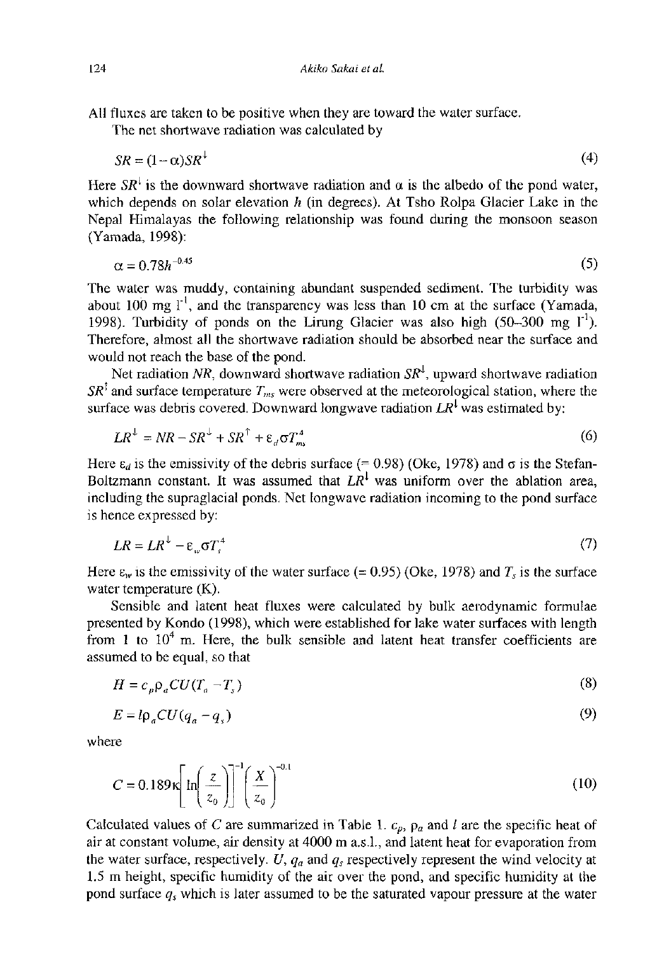All fluxes are taken to be positive when they are toward the water surface.

The net shortwave radiation was calculated by

$$
SR = (1 - \alpha)SR^{\perp} \tag{4}
$$

Here  $SR<sup>+</sup>$  is the downward shortwave radiation and  $\alpha$  is the albedo of the pond water, which depends on solar elevation *h* (in degrees). At Tsho Rolpa Glacier Lake in the Nepal Himalayas the following relationship was found during the monsoon season (Yamada, 1998):

$$
\alpha = 0.78h^{-0.45} \tag{5}
$$

The water was muddy, containing abundant suspended sediment. The turbidity was about 100 mg  $1$ <sup>\*</sup>, and the transparency was less than 10 cm at the surface (Yamada, 1998). Turbidity of ponds on the Lirung Glacier was also high (50-300 mg l"<sup>1</sup> ). Therefore, almost all the shortwave radiation should be absorbed near the surface and would not reach the base of the pond.

Net radiation NR, downward shortwave radiation  $SR<sup>1</sup>$ , upward shortwave radiation *SR<sup>1</sup>* and surface temperature  $T_{ms}$  were observed at the meteorological station, where the surface was debris covered. Downward longwave radiation  $LR^1$  was estimated by:

$$
LR^{\perp} = NR - SR^{\perp} + SR^{\uparrow} + \varepsilon_d \sigma T_m^4 \tag{6}
$$

Here  $\varepsilon_d$  is the emissivity of the debris surface (= 0.98) (Oke, 1978) and  $\sigma$  is the Stefan-Boltzmann constant. It was assumed that *LR<sup>1</sup>* was uniform over the ablation area, including the supraglacial ponds. Net longwave radiation incoming to the pond surface is hence expressed by:

$$
LR = LR^{\downarrow} - \varepsilon_w \sigma T_s^4 \tag{7}
$$

Here  $\varepsilon_w$  is the emissivity of the water surface (= 0.95) (Oke, 1978) and  $T_s$  is the surface water temperature (K).

Sensible and latent heat fluxes were calculated by bulk aerodynamic formulae presented by Kondo (1998), which were established for lake water surfaces with length from 1 to  $10<sup>4</sup>$  m. Here, the bulk sensible and latent heat transfer coefficients are assumed to be equal, so that

$$
H = c_p \rho_a C U (T_a - T_s) \tag{8}
$$

$$
E = l\rho_a C U (q_a - q_s) \tag{9}
$$

where

$$
C = 0.189 \kappa \left[ \ln \left( \frac{z}{z_0} \right) \right]^{-1} \left( \frac{X}{z_0} \right)^{-0.1}
$$
 (10)

Calculated values of C are summarized in Table 1.  $c_p$ ,  $p_a$  and l are the specific heat of air at constant volume, air density at 4000 m a.s.l., and latent heat for evaporation from the water surface, respectively. U,  $q_a$  and  $q_s$  respectively represent the wind velocity at 1.5 m height, specific humidity of the air over the pond, and specific humidity at the pond surface *q<sup>s</sup>* which is later assumed to be the saturated vapour pressure at the water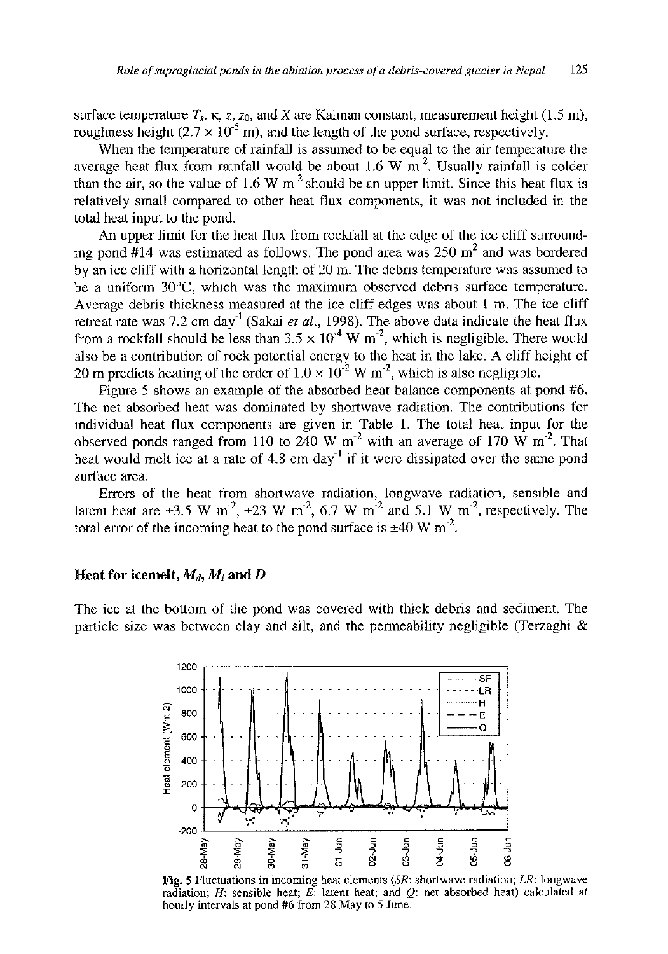surface temperature  $T_s$ .  $\kappa$ ,  $z$ ,  $z_0$ , and X are Kalman constant, measurement height (1.5 m), roughness height  $(2.7 \times 10^{-5})$ , and the length of the pond surface, respectively.

When the temperature of rainfall is assumed to be equal to the air temperature the average heat flux from rainfall would be about 1.6 W  $m<sup>2</sup>$ . Usually rainfall is colder than the air, so the value of 1.6 W  $m<sup>2</sup>$  should be an upper limit. Since this heat flux is relatively small compared to other heat flux components, it was not included in the total heat input to the pond.

An upper limit for the heat flux from rockfall at the edge of the ice cliff surrounding pond  $#14$  was estimated as follows. The pond area was  $250 \text{ m}^2$  and was bordered by an ice cliff with a horizontal length of 20 m. The debris temperature was assumed to be a uniform 30°C, which was the maximum observed debris surface temperature. Average debris thickness measured at the ice cliff edges was about 1 m. The ice cliff retreat rate was 7.2 cm day<sup>-1</sup> (Sakai *et al.*, 1998). The above data indicate the heat flux from a rockfall should be less than  $3.5 \times 10^{-4}$  W m<sup>-2</sup>, which is negligible. There would also be a contribution of rock potential energy to the heat in the lake. A cliff height of 20 m predicts heating of the order of  $1.0 \times 10^{-2}$  W m<sup>-2</sup>, which is also negligible.

Figure 5 shows an example of the absorbed heat balance components at pond #6. The net absorbed heat was dominated by shortwave radiation. The contributions for individual heat flux components are given in Table 1. The total heat input for the observed ponds ranged from 110 to 240 W  $m<sup>-2</sup>$  with an average of 170 W  $m<sup>-2</sup>$ . That heat would melt ice at a rate of 4.8 cm day<sup>-1</sup> if it were dissipated over the same pond surface area.

Errors of the heat from shortwave radiation, longwave radiation, sensible and latent heat are  $\pm 3.5$  W m<sup>2</sup>,  $\pm 23$  W m<sup>2</sup>, 6.7 W m<sup>2</sup> and 5.1 W m<sup>2</sup>, respectively. The total error of the incoming heat to the pond surface is  $\pm 40$  W m<sup>-2</sup>.

## **Heat for icemelt,**  $M_d$ ,  $M_i$  and  $D$

The ice at the bottom of the pond was covered with thick debris and sediment. The particle size was between clay and silt, and the permeability negligible (Terzaghi &



Fig . **5** Fluctuations in incoming heat elements *(SR:* shortwave radiation; *LR:* longwave radiation; *H:* sensible heat; *E:* latent heat; and *Q:* net absorbed heat) calculated at hourly intervals at pond  $#6$  from 28 May to 5 June.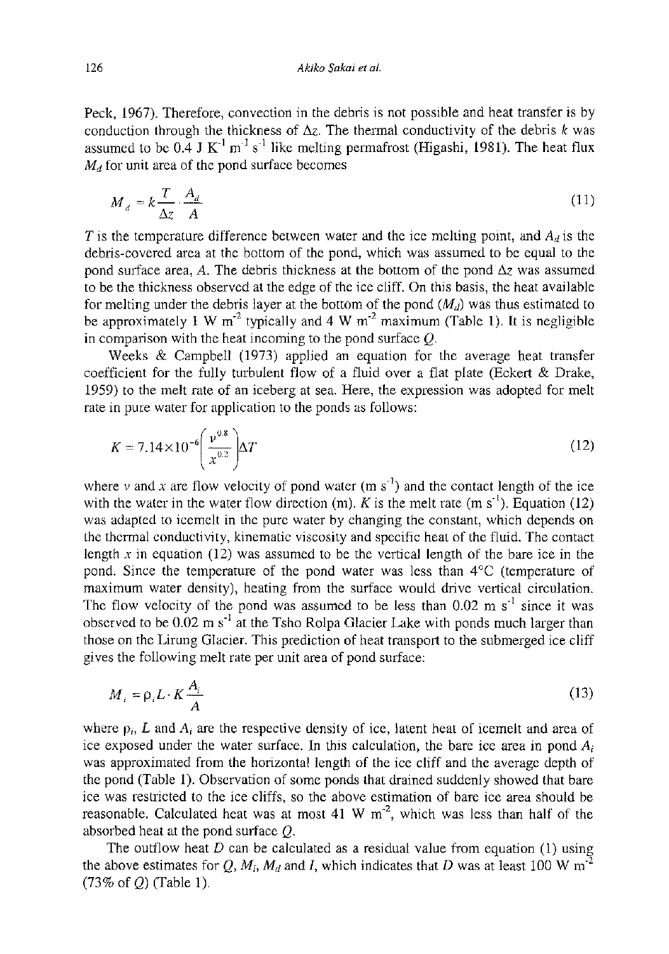Peck, 1967). Therefore, convection in the debris is not possible and heat transfer is by conduction through the thickness of  $\Delta z$ . The thermal conductivity of the debris k was assumed to be 0.4 J  $K^{-1}$  m<sup>-1</sup> s<sup>-1</sup> like melting permafrost (Higashi, 1981). The heat flux  $M_d$  for unit area of the pond surface becomes

$$
M_d = k \frac{T}{\Delta z} \cdot \frac{A_d}{A} \tag{11}
$$

*T* is the temperature difference between water and the ice melting point, and  $A_d$  is the debris-covered area at the bottom of the pond, which was assumed to be equal to the pond surface area, A. The debris thickness at the bottom of the pond  $\Delta z$  was assumed to be the thickness observed at the edge of the ice cliff. On this basis, the heat available for melting under the debris layer at the bottom of the pond  $(M_d)$  was thus estimated to be approximately 1 W  $m<sup>2</sup>$  typically and 4 W  $m<sup>2</sup>$  maximum (Table 1). It is negligible in comparison with the heat incoming to the pond surface *Q.* 

Weeks & Campbell (1973) applied an equation for the average heat transfer coefficient for the fully turbulent flow of a fluid over a flat plate (Eckert & Drake, 1959) to the melt rate of an iceberg at sea. Here, the expression was adopted for melt rate in pure water for application to the ponds as follows:

$$
K = 7.14 \times 10^{-6} \left( \frac{v^{0.8}}{x^{0.2}} \right) \Delta T
$$
 (12)

where  $\nu$  and x are flow velocity of pond water (m s<sup>-1</sup>) and the contact length of the ice with the water in the water flow direction  $(m)$ . *K* is the melt rate  $(m s<sup>-1</sup>)$ . Equation (12) was adapted to icemelt in the pure water by changing the constant, which depends on the thermal conductivity, kinematic viscosity and specific heat of the fluid. The contact length *x* in equation (12) was assumed to be the vertical length of the bare ice in the pond. Since the temperature of the pond water was less than 4°C (temperature of maximum water density), heating from the surface would drive vertical circulation. The flow velocity of the pond was assumed to be less than  $0.02 \text{ m s}^{-1}$  since it was observed to be 0.02 m s<sup>-1</sup> at the Tsho Rolpa Glacier Lake with ponds much larger than those on the Lirung Glacier. This prediction of heat transport to the submerged ice cliff gives the following melt rate per unit area of pond surface:

$$
M_i = \rho_i L \cdot K \frac{A_i}{A}
$$
 (13)

where  $p_i$ , L and  $A_i$  are the respective density of ice, latent heat of icemelt and area of ice exposed under the water surface. In this calculation, the bare ice area in pond  $A_i$ was approximated from the horizontal length of the ice cliff and the average depth of the pond (Table 1). Observation of some ponds that drained suddenly showed that bare ice was restricted to the ice cliffs, so the above estimation of bare ice area should be reasonable. Calculated heat was at most 41 W  $m^2$ , which was less than half of the absorbed heat at the pond surface *Q.* 

The outflow heat *D* can be calculated as a residual value from equation (1) using the above estimates for  $Q$ ,  $M_i$ ,  $M_d$  and *I*, which indicates that *D* was at least 100 W m<sup>-2</sup> (73% of *Q)* (Table 1).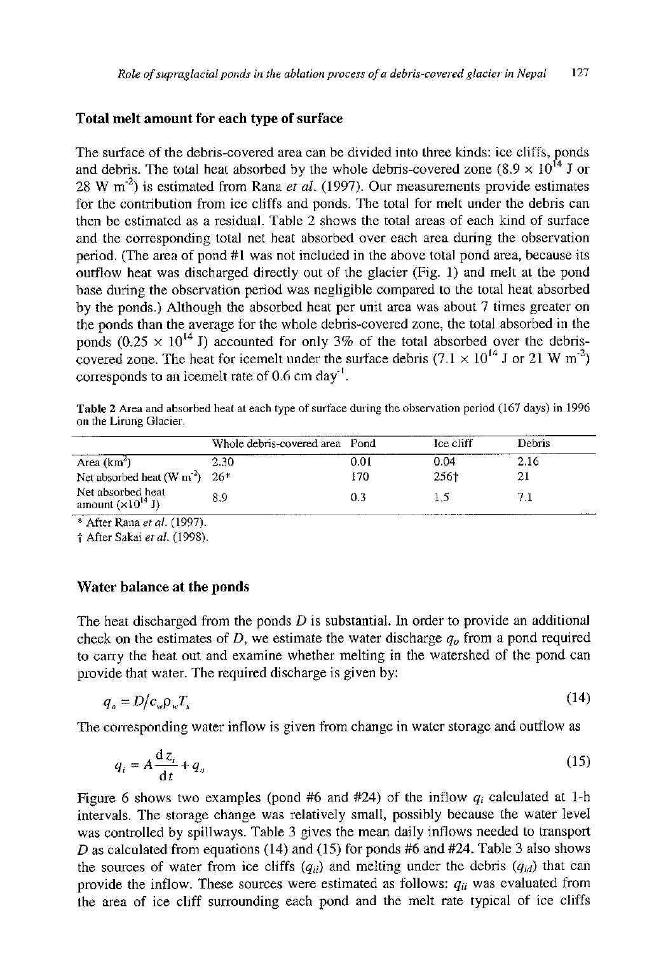# **Total melt amount for each type of surface**

The surface of the debris-covered area can be divided into three kinds: ice cliffs, ponds and debris. The total heat absorbed by the whole debris-covered zone  $(8.9 \times 10^{14} \text{ J} \text{ or }$ 28 W m"<sup>2</sup> ) is estimated from Rana *et al.* (1997). Our measurements provide estimates for the contribution from ice cliffs and ponds. The total for melt under the debris can then be estimated as a residual. Table 2 shows the total areas of each kind of surface and the corresponding total net heat absorbed over each area during the observation period. (The area of pond #1 was not included in the above total pond area, because its outflow heat was discharged directly out of the glacier (Fig. 1) and melt at the pond base during the observation period was negligible compared to the total heat absorbed by the ponds.) Although the absorbed heat per unit area was about 7 times greater on the ponds than the average for the whole debris-covered zone, the total absorbed in the ponds  $(0.25 \times 10^{14} \text{ J})$  accounted for only 3% of the total absorbed over the debriscovered zone. The heat for icemelt under the surface debris  $(7.1 \times 10^{14} \text{ J or } 21 \text{ W m}^2)$ corresponds to an icemelt rate of  $0.6$  cm day $^{\prime}$ .

Table 2 Area and absorbed heat at each type of surface during the observation period (167 days) in 1996 on the Lirung Glacier.

|                                                          | Whole debris-covered area Pond |      | Ice cliff | Debris |  |
|----------------------------------------------------------|--------------------------------|------|-----------|--------|--|
| Area $(km^2)$                                            | 2.30                           | 0.01 | 0.04      | 2.16   |  |
| Net absorbed heat (W m <sup>2</sup> ) $26*$              |                                | 170  | 256†      |        |  |
| Net absorbed heat<br>amount $(\times 10^{14} \text{ J})$ | 8.9                            | 0.3  |           |        |  |

\* After Rana *et al.* (1997).

t After Sakai *et al.* (1998).

#### **Water balance at the ponds**

The heat discharged from the ponds *D* is substantial. In order to provide an additional check on the estimates of *D,* we estimate the water discharge *q<sup>0</sup>* from a pond required to carry the heat out and examine whether melting in the watershed of the pond can provide that water. The required discharge is given by:

$$
q_o = D/c_w p_v T_s \tag{14}
$$

The corresponding water inflow is given from change in water storage and outflow as

$$
q_i = A \frac{dz_i}{dt} + q_o \tag{15}
$$

Figure 6 shows two examples (pond #6 and #24) of the inflow  $q_i$  calculated at 1-h intervals. The storage change was relatively small, possibly because the water level was controlled by spillways. Table 3 gives the mean daily inflows needed to transport D as calculated from equations (14) and (15) for ponds #6 and #24. Table 3 also shows the sources of water from ice cliffs  $(q_{ii})$  and melting under the debris  $(q_{id})$  that can provide the inflow. These sources were estimated as follows:  $q_{ii}$  was evaluated from provide the inflow-these sources were estimated as  $\cos \theta$  and  $\sin \theta$  was  $\sin \theta$  in  $\sin \theta$  in  $\sin \theta$  in  $\sin \theta$  is  $\sin \theta$  in  $\sin \theta$ the area of ice cliff surrounding each pond and the melt rate typical of ice cliffs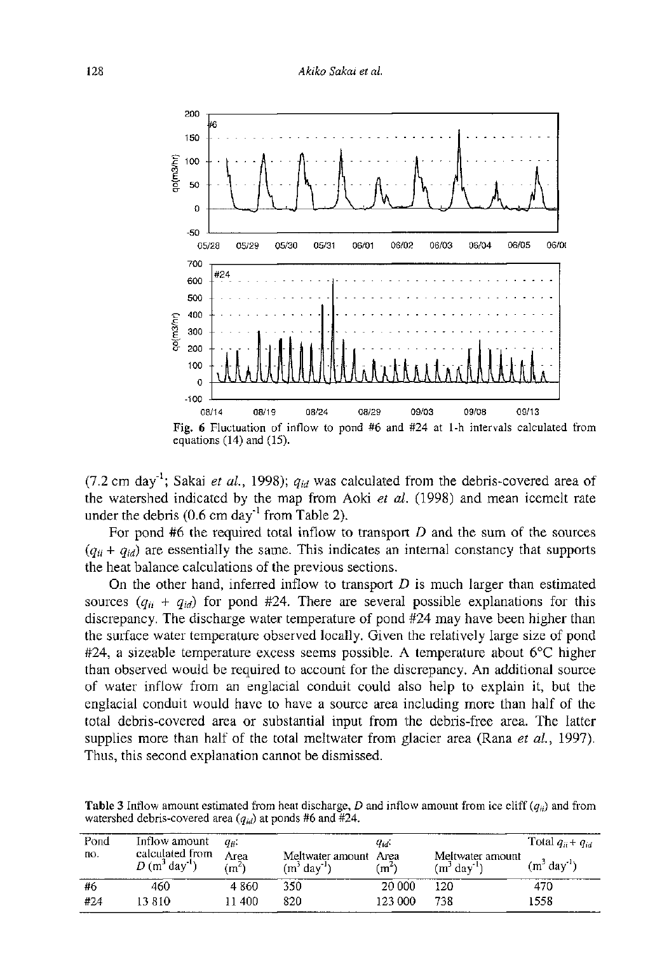

 $(7.2 \text{ cm day}^{-1})$ ; Sakai *et al.*, 1998);  $q_{id}$  was calculated from the debris-covered area of the watershed indicated by the map from Aoki *et al.* (1998) and mean icemelt rate under the debris  $(0.6 \text{ cm day}^{-1} \text{ from Table 2}).$ 

For pond #6 the required total inflow to transport *D* and the sum of the sources  $(q_{ii} + q_{id})$  are essentially the same. This indicates an internal constancy that supports the heat balance calculations of the previous sections.

On the other hand, inferred inflow to transport *D* is much larger than estimated sources  $(q_{ij} + q_{id})$  for pond #24. There are several possible explanations for this discrepancy. The discharge water temperature of pond #24 may have been higher than the surface water temperature observed locally. Given the relatively large size of pond #24, a sizeable temperature excess seems possible. A temperature about 6°C higher than observed would be required to account for the discrepancy. An additional source of water inflow from an englacial conduit could also help to explain it, but the englacial conduit would have to have a source area including more than half of the total debris-covered area or substantial input from the debris-free area. The latter supplies more than half of the total meltwater from glacier area (Rana *et al,* 1997). Thus, this second explanation cannot be dismissed.

**Table 3** Inflow amount estimated from heat discharge,  $D$  and inflow amount from ice cliff  $(q_{ii})$  and from watershed debris-covered area *(qia)* at ponds #6 and #24.

| Pond<br>пο. | Inflow amount<br>calculated from<br>$D(m^3$ day <sup>1</sup> ) | Gii-<br>Area<br>$\cdot$ m <sup><math>\cdot</math></sup> | Meltwater amount Area<br>. dav<br>$(m^2)$ | Qid.<br>$\mathsf{m}^*$ | Meltwater amount<br>$\log$ <sup>1</sup><br>$(m^{3})$ | Total $q_{ii}$ + $q_{id}$<br>(m' day'') |
|-------------|----------------------------------------------------------------|---------------------------------------------------------|-------------------------------------------|------------------------|------------------------------------------------------|-----------------------------------------|
| #6          | 460                                                            | 4 860                                                   | 350                                       | 20 000                 | 120                                                  | 470                                     |
| #24         | 13 R I O                                                       | 11 400                                                  | 820                                       | 123 000                | 738                                                  | 1558                                    |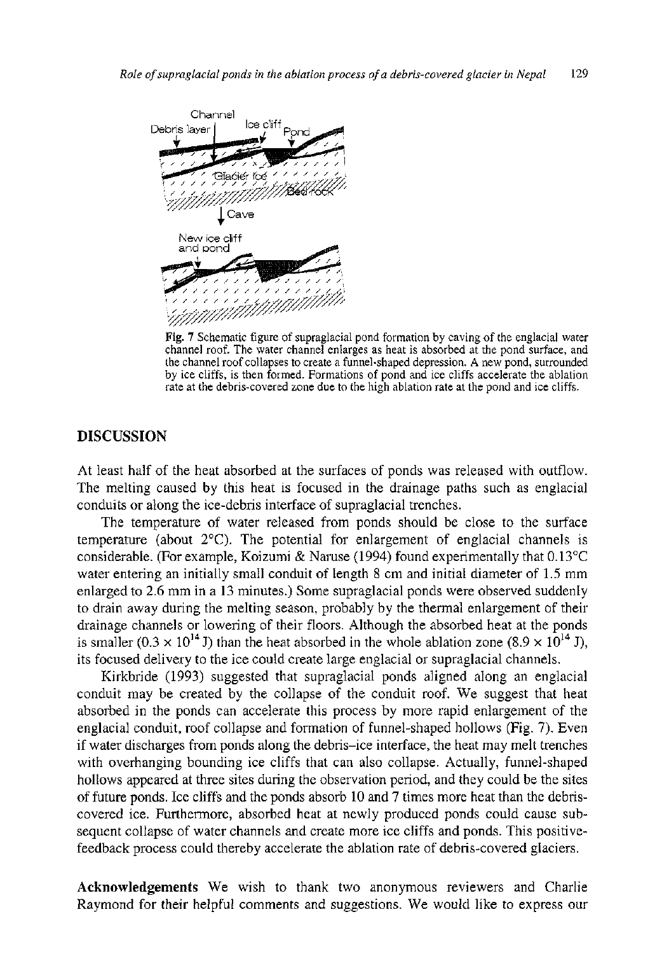

**Fig. 7** Schematic figure of supraglacial pond formation by caving of the englacial water channel roof. The water channel enlarges as heat is absorbed at the pond surface, and the channel roof collapses to create a funnel-shaped depression. A new pond, surrounded by ice cliffs, is then formed. Formations of pond and ice cliffs accelerate the ablation rate at the debris-covered zone due to the high ablation rate at the pond and ice cliffs.

## **DISCUSSION**

At least half of the heat absorbed at the surfaces of ponds was released with outflow. The melting caused by this heat is focused in the drainage paths such as englacial conduits or along the ice-debris interface of supraglacial trenches.

The temperature of water released from ponds should be close to the surface temperature (about  $2^{\circ}$ C). The potential for enlargement of englacial channels is considerable. (For example, Koizumi & Naruse (1994) found experimentally that 0.13°C water entering an initially small conduit of length 8 cm and initial diameter of 1.5 mm enlarged to 2.6 mm in a 13 minutes.) Some supraglacial ponds were observed suddenly to drain away during the melting season, probably by the thermal enlargement of their drainage channels or lowering of their floors. Although the absorbed heat at the ponds is smaller  $(0.3 \times 10^{14} \text{ J})$  than the heat absorbed in the whole ablation zone  $(8.9 \times 10^{14} \text{ J})$ , its focused delivery to the ice could create large englacial or supraglacial channels.

Kirkbride (1993) suggested that supraglacial ponds aligned along an englacial conduit may be created by the collapse of the conduit roof. We suggest that heat absorbed in the ponds can accelerate this process by more rapid enlargement of the englacial conduit, roof collapse and formation of funnel-shaped hollows (Fig. 7). Even if water discharges from ponds along the debris-ice interface, the heat may melt trenches with overhanging bounding ice cliffs that can also collapse. Actually, funnel-shaped hollows appeared at three sites during the observation period, and they could be the sites of future ponds. Ice cliffs and the ponds absorb 10 and 7 times more heat than the debriscovered ice. Furthermore, absorbed heat at newly produced ponds could cause subsequent collapse of water channels and create more ice cliffs and ponds. This positivefeedback process could thereby accelerate the ablation rate of debris-covered glaciers.

Acknowledgements We wish to thank two anonymous reviewers and Charlie Raymond for their helpful comments and suggestions. We would like to express our